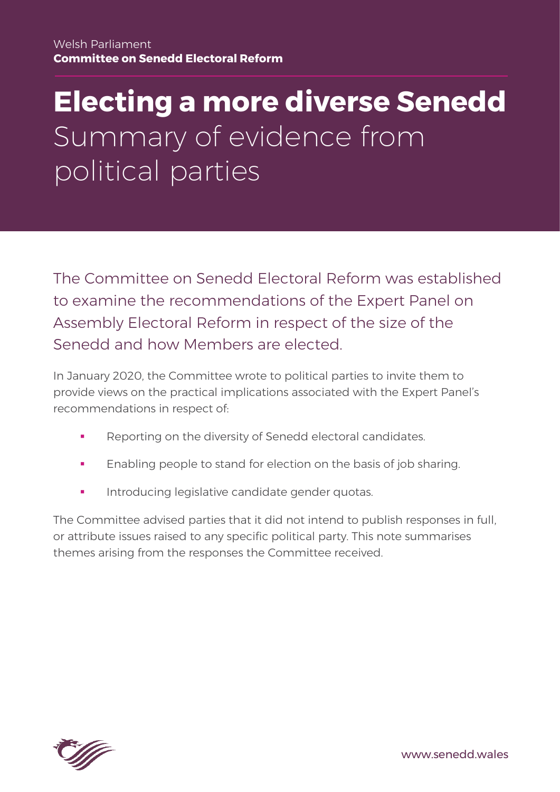## **Electing a more diverse Senedd** Summary of evidence from political parties

The Committee on Senedd Electoral Reform was established to examine the recommendations of the Expert Panel on Assembly Electoral Reform in respect of the size of the Senedd and how Members are elected.

In January 2020, the Committee wrote to political parties to invite them to provide views on the practical implications associated with the Expert Panel's recommendations in respect of:

- Reporting on the diversity of Senedd electoral candidates.
- Enabling people to stand for election on the basis of job sharing.
- Introducing legislative candidate gender quotas.

The Committee advised parties that it did not intend to publish responses in full, or attribute issues raised to any specific political party. This note summarises themes arising from the responses the Committee received.



www.senedd.wales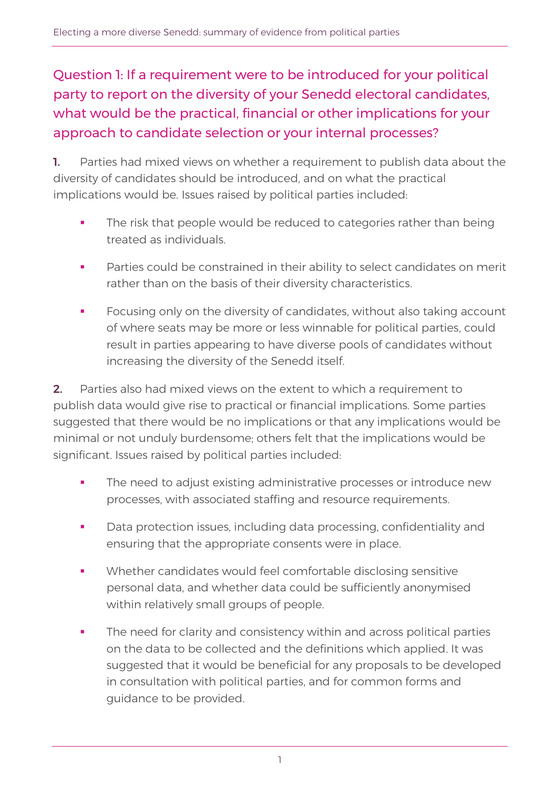Question 1: If a requirement were to be introduced for your political party to report on the diversity of your Senedd electoral candidates, what would be the practical, financial or other implications for your approach to candidate selection or your internal processes?

1. Parties had mixed views on whether a requirement to publish data about the diversity of candidates should be introduced, and on what the practical implications would be. Issues raised by political parties included:

- The risk that people would be reduced to categories rather than being treated as individuals.
- Parties could be constrained in their ability to select candidates on merit rather than on the basis of their diversity characteristics.
- Focusing only on the diversity of candidates, without also taking account of where seats may be more or less winnable for political parties, could result in parties appearing to have diverse pools of candidates without increasing the diversity of the Senedd itself.

2. Parties also had mixed views on the extent to which a requirement to publish data would give rise to practical or financial implications. Some parties suggested that there would be no implications or that any implications would be minimal or not unduly burdensome; others felt that the implications would be significant. Issues raised by political parties included:

- The need to adjust existing administrative processes or introduce new processes, with associated staffing and resource requirements.
- **•** Data protection issues, including data processing, confidentiality and ensuring that the appropriate consents were in place.
- Whether candidates would feel comfortable disclosing sensitive personal data, and whether data could be sufficiently anonymised within relatively small groups of people.
- **The need for clarity and consistency within and across political parties** on the data to be collected and the definitions which applied. It was suggested that it would be beneficial for any proposals to be developed in consultation with political parties, and for common forms and guidance to be provided.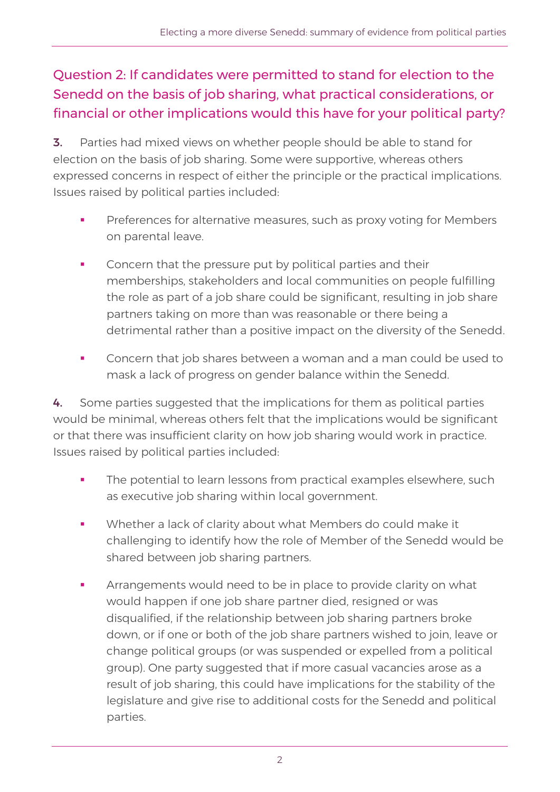## Question 2: If candidates were permitted to stand for election to the Senedd on the basis of job sharing, what practical considerations, or financial or other implications would this have for your political party?

**3.** Parties had mixed views on whether people should be able to stand for election on the basis of job sharing. Some were supportive, whereas others expressed concerns in respect of either the principle or the practical implications. Issues raised by political parties included:

- Preferences for alternative measures, such as proxy voting for Members on parental leave.
- Concern that the pressure put by political parties and their memberships, stakeholders and local communities on people fulfilling the role as part of a job share could be significant, resulting in job share partners taking on more than was reasonable or there being a detrimental rather than a positive impact on the diversity of the Senedd.
- Concern that job shares between a woman and a man could be used to mask a lack of progress on gender balance within the Senedd.

4. Some parties suggested that the implications for them as political parties would be minimal, whereas others felt that the implications would be significant or that there was insufficient clarity on how job sharing would work in practice. Issues raised by political parties included:

- The potential to learn lessons from practical examples elsewhere, such as executive job sharing within local government.
- Whether a lack of clarity about what Members do could make it challenging to identify how the role of Member of the Senedd would be shared between job sharing partners.
- Arrangements would need to be in place to provide clarity on what would happen if one job share partner died, resigned or was disqualified, if the relationship between job sharing partners broke down, or if one or both of the job share partners wished to join, leave or change political groups (or was suspended or expelled from a political group). One party suggested that if more casual vacancies arose as a result of job sharing, this could have implications for the stability of the legislature and give rise to additional costs for the Senedd and political parties.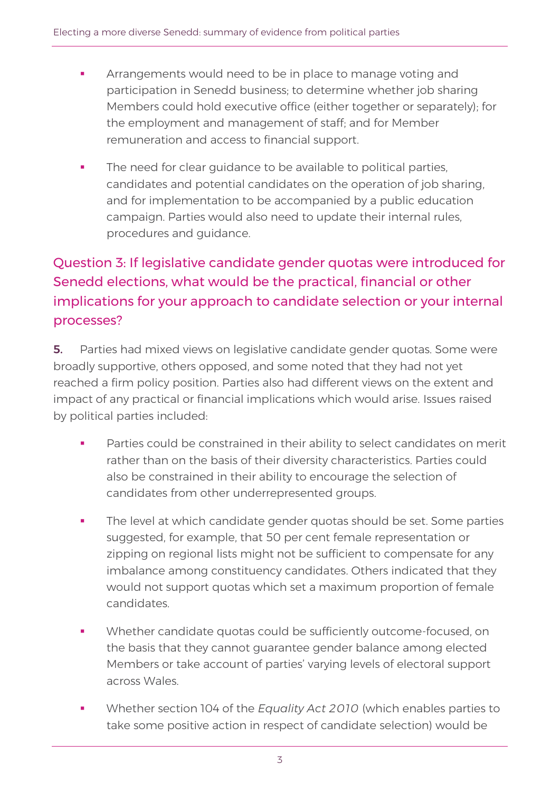- Arrangements would need to be in place to manage voting and participation in Senedd business; to determine whether job sharing Members could hold executive office (either together or separately); for the employment and management of staff; and for Member remuneration and access to financial support.
- **•** The need for clear guidance to be available to political parties, candidates and potential candidates on the operation of job sharing, and for implementation to be accompanied by a public education campaign. Parties would also need to update their internal rules, procedures and guidance.

## Question 3: If legislative candidate gender quotas were introduced for Senedd elections, what would be the practical, financial or other implications for your approach to candidate selection or your internal processes?

**5.** Parties had mixed views on legislative candidate gender quotas. Some were broadly supportive, others opposed, and some noted that they had not yet reached a firm policy position. Parties also had different views on the extent and impact of any practical or financial implications which would arise. Issues raised by political parties included:

- Parties could be constrained in their ability to select candidates on merit rather than on the basis of their diversity characteristics. Parties could also be constrained in their ability to encourage the selection of candidates from other underrepresented groups.
- The level at which candidate gender quotas should be set. Some parties suggested, for example, that 50 per cent female representation or zipping on regional lists might not be sufficient to compensate for any imbalance among constituency candidates. Others indicated that they would not support quotas which set a maximum proportion of female candidates.
- Whether candidate quotas could be sufficiently outcome-focused, on the basis that they cannot guarantee gender balance among elected Members or take account of parties' varying levels of electoral support across Wales.
- Whether section 104 of the *Equality Act 2010* (which enables parties to take some positive action in respect of candidate selection) would be